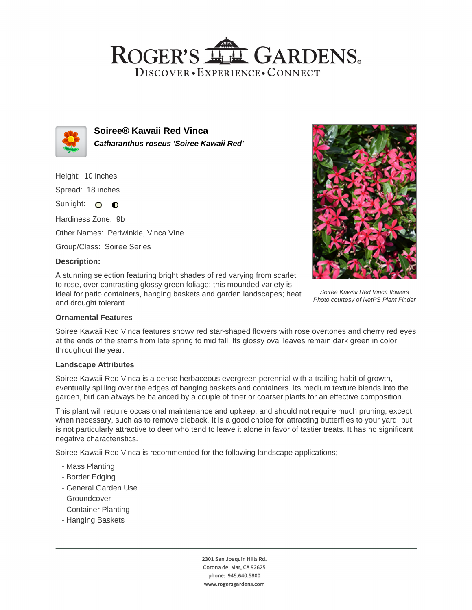## ROGER'S LL GARDENS. DISCOVER · EXPERIENCE · CONNECT



**Soiree® Kawaii Red Vinca Catharanthus roseus 'Soiree Kawaii Red'**

Height: 10 inches Spread: 18 inches Sunlight: O **O** 

Hardiness Zone: 9b

Other Names: Periwinkle, Vinca Vine

Group/Class: Soiree Series

### **Description:**

A stunning selection featuring bright shades of red varying from scarlet to rose, over contrasting glossy green foliage; this mounded variety is ideal for patio containers, hanging baskets and garden landscapes; heat and drought tolerant



Soiree Kawaii Red Vinca flowers Photo courtesy of NetPS Plant Finder

#### **Ornamental Features**

Soiree Kawaii Red Vinca features showy red star-shaped flowers with rose overtones and cherry red eyes at the ends of the stems from late spring to mid fall. Its glossy oval leaves remain dark green in color throughout the year.

#### **Landscape Attributes**

Soiree Kawaii Red Vinca is a dense herbaceous evergreen perennial with a trailing habit of growth, eventually spilling over the edges of hanging baskets and containers. Its medium texture blends into the garden, but can always be balanced by a couple of finer or coarser plants for an effective composition.

This plant will require occasional maintenance and upkeep, and should not require much pruning, except when necessary, such as to remove dieback. It is a good choice for attracting butterflies to your yard, but is not particularly attractive to deer who tend to leave it alone in favor of tastier treats. It has no significant negative characteristics.

Soiree Kawaii Red Vinca is recommended for the following landscape applications;

- Mass Planting
- Border Edging
- General Garden Use
- Groundcover
- Container Planting
- Hanging Baskets

2301 San Joaquin Hills Rd. Corona del Mar, CA 92625 phone: 949.640.5800 www.rogersgardens.com